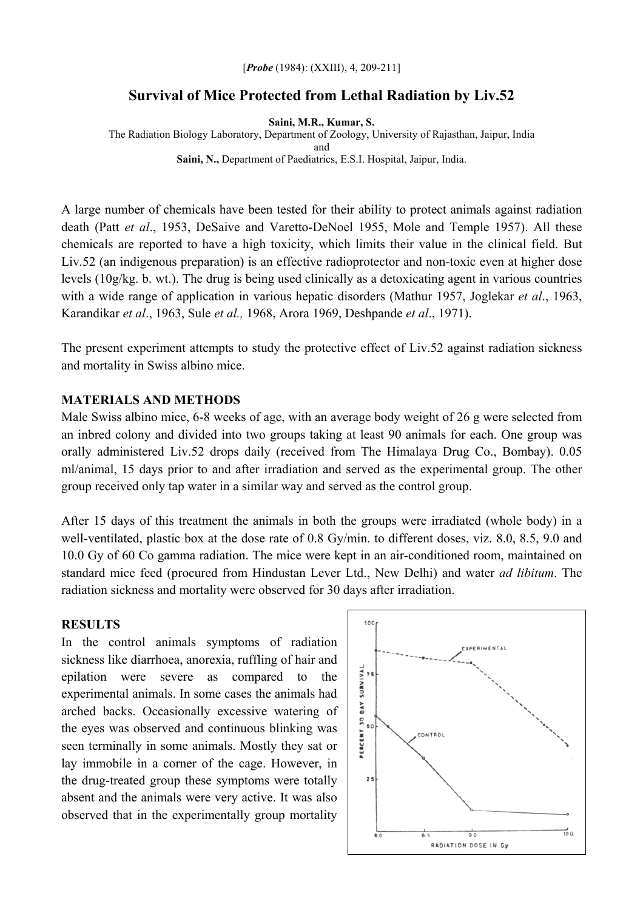#### [*Probe* (1984): (XXIII), 4, 209-211]

### **Survival of Mice Protected from Lethal Radiation by Liv.52**

**Saini, M.R., Kumar, S.** 

The Radiation Biology Laboratory, Department of Zoology, University of Rajasthan, Jaipur, India and **Saini, N.,** Department of Paediatrics, E.S.I. Hospital, Jaipur, India.

A large number of chemicals have been tested for their ability to protect animals against radiation death (Patt *et al*., 1953, DeSaive and Varetto-DeNoel 1955, Mole and Temple 1957). All these chemicals are reported to have a high toxicity, which limits their value in the clinical field. But Liv.52 (an indigenous preparation) is an effective radioprotector and non-toxic even at higher dose levels (10g/kg. b. wt.). The drug is being used clinically as a detoxicating agent in various countries with a wide range of application in various hepatic disorders (Mathur 1957, Joglekar *et al*., 1963, Karandikar *et al*., 1963, Sule *et al.,* 1968, Arora 1969, Deshpande *et al*., 1971).

The present experiment attempts to study the protective effect of Liv.52 against radiation sickness and mortality in Swiss albino mice.

#### **MATERIALS AND METHODS**

Male Swiss albino mice, 6-8 weeks of age, with an average body weight of 26 g were selected from an inbred colony and divided into two groups taking at least 90 animals for each. One group was orally administered Liv.52 drops daily (received from The Himalaya Drug Co., Bombay). 0.05 ml/animal, 15 days prior to and after irradiation and served as the experimental group. The other group received only tap water in a similar way and served as the control group.

After 15 days of this treatment the animals in both the groups were irradiated (whole body) in a well-ventilated, plastic box at the dose rate of 0.8 Gy/min. to different doses, viz. 8.0, 8.5, 9.0 and 10.0 Gy of 60 Co gamma radiation. The mice were kept in an air-conditioned room, maintained on standard mice feed (procured from Hindustan Lever Ltd., New Delhi) and water *ad libitum*. The radiation sickness and mortality were observed for 30 days after irradiation.

### **RESULTS**

In the control animals symptoms of radiation sickness like diarrhoea, anorexia, ruffling of hair and epilation were severe as compared to the experimental animals. In some cases the animals had arched backs. Occasionally excessive watering of the eyes was observed and continuous blinking was seen terminally in some animals. Mostly they sat or lay immobile in a corner of the cage. However, in the drug-treated group these symptoms were totally absent and the animals were very active. It was also observed that in the experimentally group mortality

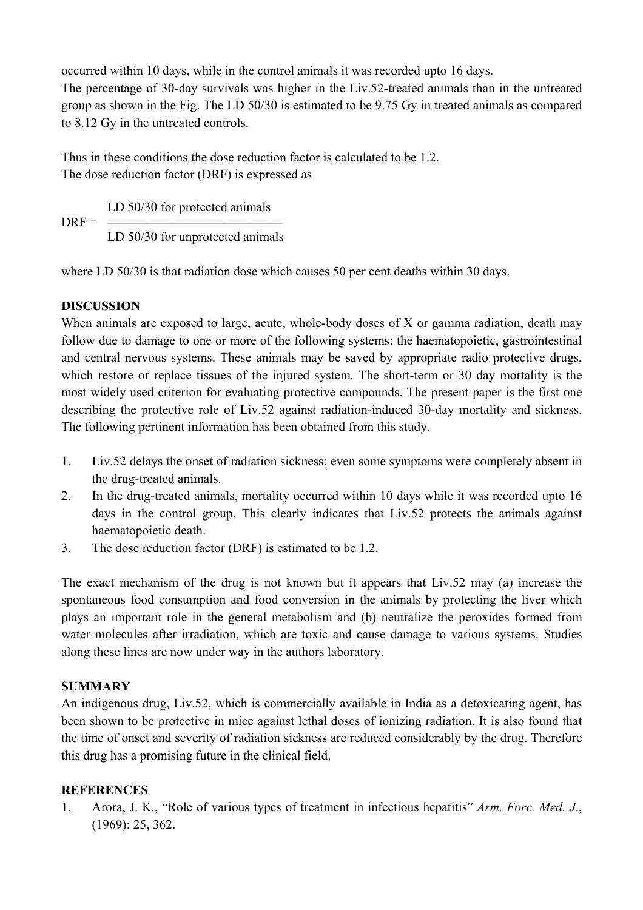occurred within 10 days, while in the control animals it was recorded upto 16 days.

The percentage of 30-day survivals was higher in the Liv.52-treated animals than in the untreated group as shown in the Fig. The LD 50/30 is estimated to be 9.75 Gy in treated animals as compared to 8.12 Gy in the untreated controls.

Thus in these conditions the dose reduction factor is calculated to be 1.2. The dose reduction factor (DRF) is expressed as

 LD 50/30 for protected animals  $DREF = -$ LD 50/30 for unprotected animals

where LD 50/30 is that radiation dose which causes 50 per cent deaths within 30 days.

# **DISCUSSION**

When animals are exposed to large, acute, whole-body doses of X or gamma radiation, death may follow due to damage to one or more of the following systems: the haematopoietic, gastrointestinal and central nervous systems. These animals may be saved by appropriate radio protective drugs, which restore or replace tissues of the injured system. The short-term or 30 day mortality is the most widely used criterion for evaluating protective compounds. The present paper is the first one describing the protective role of Liv.52 against radiation-induced 30-day mortality and sickness. The following pertinent information has been obtained from this study.

- 1. Liv.52 delays the onset of radiation sickness; even some symptoms were completely absent in the drug-treated animals.
- 2. In the drug-treated animals, mortality occurred within 10 days while it was recorded upto 16 days in the control group. This clearly indicates that Liv.52 protects the animals against haematopoietic death.
- 3. The dose reduction factor (DRF) is estimated to be 1.2.

The exact mechanism of the drug is not known but it appears that Liv.52 may (a) increase the spontaneous food consumption and food conversion in the animals by protecting the liver which plays an important role in the general metabolism and (b) neutralize the peroxides formed from water molecules after irradiation, which are toxic and cause damage to various systems. Studies along these lines are now under way in the authors laboratory.

# **SUMMARY**

An indigenous drug, Liv.52, which is commercially available in India as a detoxicating agent, has been shown to be protective in mice against lethal doses of ionizing radiation. It is also found that the time of onset and severity of radiation sickness are reduced considerably by the drug. Therefore this drug has a promising future in the clinical field.

### **REFERENCES**

1. Arora, J. K., "Role of various types of treatment in infectious hepatitis" *Arm. Forc. Med. J*., (1969): 25, 362.